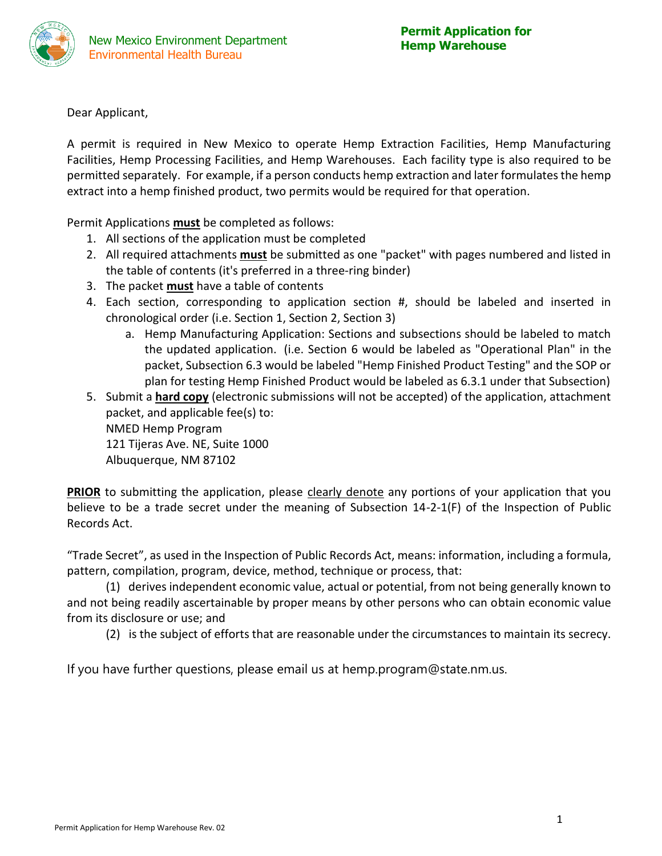

Dear Applicant,

A permit is required in New Mexico to operate Hemp Extraction Facilities, Hemp Manufacturing Facilities, Hemp Processing Facilities, and Hemp Warehouses. Each facility type is also required to be permitted separately. For example, if a person conducts hemp extraction and later formulates the hemp extract into a hemp finished product, two permits would be required for that operation.

Permit Applications **must** be completed as follows:

- 1. All sections of the application must be completed
- 2. All required attachments **must** be submitted as one "packet" with pages numbered and listed in the table of contents (it's preferred in a three-ring binder)
- 3. The packet **must** have a table of contents
- 4. Each section, corresponding to application section #, should be labeled and inserted in chronological order (i.e. Section 1, Section 2, Section 3)
	- a. Hemp Manufacturing Application: Sections and subsections should be labeled to match the updated application. (i.e. Section 6 would be labeled as "Operational Plan" in the packet, Subsection 6.3 would be labeled "Hemp Finished Product Testing" and the SOP or plan for testing Hemp Finished Product would be labeled as 6.3.1 under that Subsection)
- 5. Submit a **hard copy** (electronic submissions will not be accepted) of the application, attachment packet, and applicable fee(s) to: NMED Hemp Program 121 Tijeras Ave. NE, Suite 1000 Albuquerque, NM 87102

**PRIOR** to submitting the application, please clearly denote any portions of your application that you believe to be a trade secret under the meaning of Subsection 14-2-1(F) of the Inspection of Public Records Act.

"Trade Secret", as used in the Inspection of Public Records Act, means: information, including a formula, pattern, compilation, program, device, method, technique or process, that:

(1) derives independent economic value, actual or potential, from not being generally known to and not being readily ascertainable by proper means by other persons who can obtain economic value from its disclosure or use; and

(2) is the subject of efforts that are reasonable under the circumstances to maintain its secrecy.

If you have further questions, please email us at hemp.program@state.nm.us.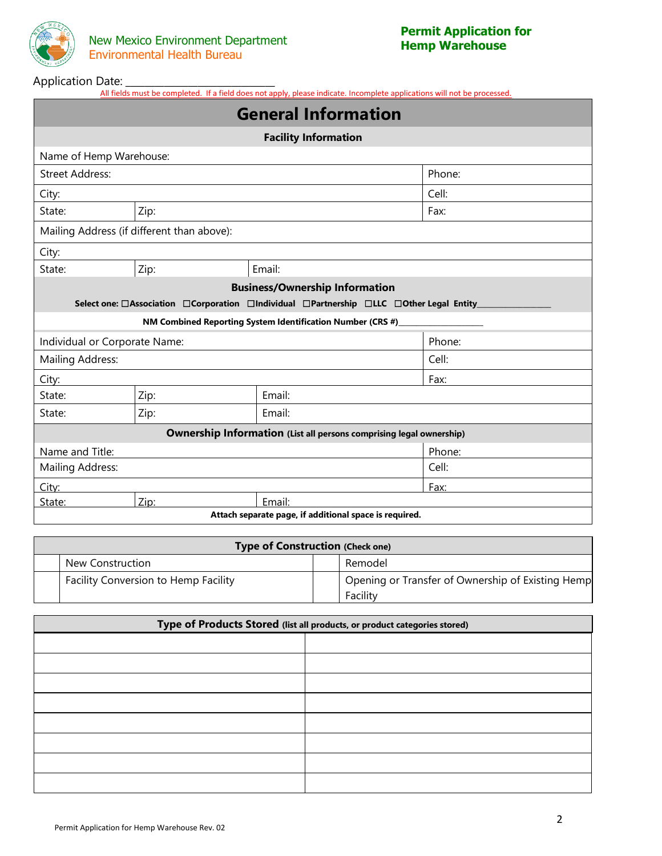

### Application Date: **\_\_\_\_\_\_\_\_\_\_\_\_\_\_\_\_\_\_\_\_\_\_\_\_**

All fields must be completed. If a field does not apply, please indicate. Incomplete applications will not be processed.

| <b>General Information</b>    |                                            |                                                                                         |        |  |  |  |  |
|-------------------------------|--------------------------------------------|-----------------------------------------------------------------------------------------|--------|--|--|--|--|
| <b>Facility Information</b>   |                                            |                                                                                         |        |  |  |  |  |
| Name of Hemp Warehouse:       |                                            |                                                                                         |        |  |  |  |  |
| <b>Street Address:</b>        |                                            |                                                                                         | Phone: |  |  |  |  |
| City:                         |                                            |                                                                                         | Cell:  |  |  |  |  |
| State:                        | Zip:                                       |                                                                                         | Fax:   |  |  |  |  |
|                               | Mailing Address (if different than above): |                                                                                         |        |  |  |  |  |
| City:                         |                                            |                                                                                         |        |  |  |  |  |
| State:                        | Zip:                                       | Email:                                                                                  |        |  |  |  |  |
|                               |                                            | <b>Business/Ownership Information</b>                                                   |        |  |  |  |  |
|                               |                                            | Select one: □Association □Corporation □Individual □Partnership □LLC □Other Legal Entity |        |  |  |  |  |
|                               |                                            | NM Combined Reporting System Identification Number (CRS #)                              |        |  |  |  |  |
| Individual or Corporate Name: |                                            |                                                                                         | Phone: |  |  |  |  |
| <b>Mailing Address:</b>       |                                            |                                                                                         | Cell:  |  |  |  |  |
| City:                         |                                            |                                                                                         | Fax:   |  |  |  |  |
| State:                        | Zip:                                       | Email:                                                                                  |        |  |  |  |  |
| State:                        | Zip:                                       | Email:                                                                                  |        |  |  |  |  |
|                               |                                            | <b>Ownership Information (List all persons comprising legal ownership)</b>              |        |  |  |  |  |
| Name and Title:               |                                            |                                                                                         | Phone: |  |  |  |  |
| Mailing Address:              |                                            |                                                                                         | Cell:  |  |  |  |  |
| City:                         |                                            |                                                                                         | Fax:   |  |  |  |  |
| State:                        | Zip:                                       | Email:                                                                                  |        |  |  |  |  |
|                               |                                            | Attach separate page, if additional space is required.                                  |        |  |  |  |  |

| <b>Type of Construction (Check one)</b> |  |                                                               |  |  |  |  |  |  |
|-----------------------------------------|--|---------------------------------------------------------------|--|--|--|--|--|--|
| New Construction                        |  | Remodel                                                       |  |  |  |  |  |  |
| Facility Conversion to Hemp Facility    |  | Opening or Transfer of Ownership of Existing Hemp<br>Facility |  |  |  |  |  |  |

| Type of Products Stored (list all products, or product categories stored) |  |  |  |  |  |
|---------------------------------------------------------------------------|--|--|--|--|--|
|                                                                           |  |  |  |  |  |
|                                                                           |  |  |  |  |  |
|                                                                           |  |  |  |  |  |
|                                                                           |  |  |  |  |  |
|                                                                           |  |  |  |  |  |
|                                                                           |  |  |  |  |  |
|                                                                           |  |  |  |  |  |
|                                                                           |  |  |  |  |  |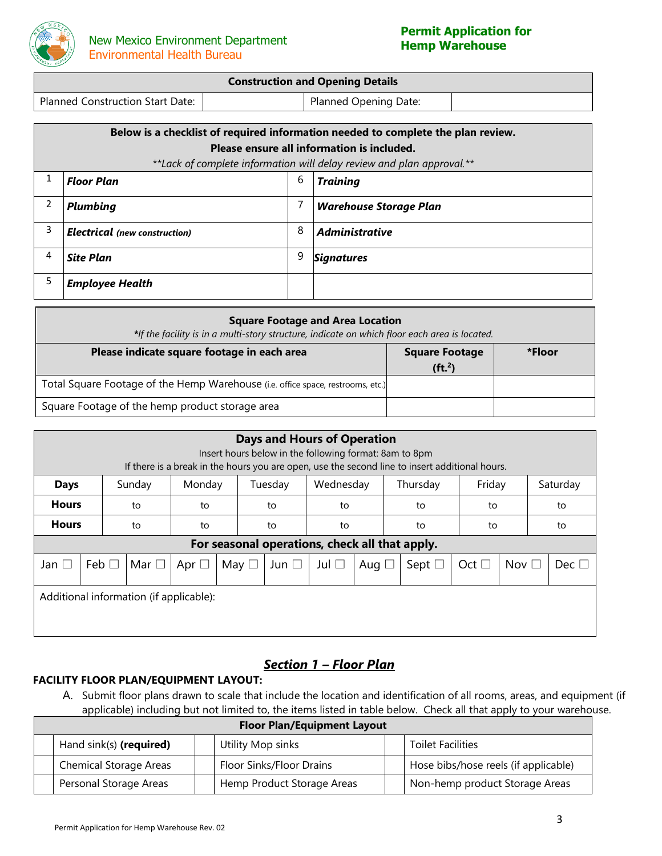

| <b>Construction and Opening Details</b> |  |                       |  |  |  |  |
|-----------------------------------------|--|-----------------------|--|--|--|--|
| Planned Construction Start Date:        |  | Planned Opening Date: |  |  |  |  |

|   | Below is a checklist of required information needed to complete the plan review.<br>Please ensure all information is included. |   |                                                                       |  |  |  |  |  |  |
|---|--------------------------------------------------------------------------------------------------------------------------------|---|-----------------------------------------------------------------------|--|--|--|--|--|--|
|   |                                                                                                                                |   | **Lack of complete information will delay review and plan approval.** |  |  |  |  |  |  |
|   | 6<br><b>Floor Plan</b><br><b>Training</b>                                                                                      |   |                                                                       |  |  |  |  |  |  |
| 2 | <b>Plumbing</b>                                                                                                                |   | <b>Warehouse Storage Plan</b>                                         |  |  |  |  |  |  |
| 3 | <b>Electrical</b> (new construction)                                                                                           | 8 | <b>Administrative</b>                                                 |  |  |  |  |  |  |
| 4 | <b>Site Plan</b>                                                                                                               | 9 | <b>Signatures</b>                                                     |  |  |  |  |  |  |
| 5 | <b>Employee Health</b>                                                                                                         |   |                                                                       |  |  |  |  |  |  |

| <b>Square Footage and Area Location</b><br>*If the facility is in a multi-story structure, indicate on which floor each area is located. |  |  |  |  |  |  |  |  |
|------------------------------------------------------------------------------------------------------------------------------------------|--|--|--|--|--|--|--|--|
| Please indicate square footage in each area<br><b>Square Footage</b><br>*Floor<br>( <b>ft</b> <sub>2</sub> )                             |  |  |  |  |  |  |  |  |
| Total Square Footage of the Hemp Warehouse (i.e. office space, restrooms, etc.)                                                          |  |  |  |  |  |  |  |  |
| Square Footage of the hemp product storage area                                                                                          |  |  |  |  |  |  |  |  |

| <b>Days and Hours of Operation</b><br>Insert hours below in the following format: 8am to 8pm<br>If there is a break in the hours you are open, use the second line to insert additional hours. |                                                                            |            |            |            |  |               |                                                |            |  |                |               |               |    |               |    |  |  |  |  |  |    |  |    |  |
|------------------------------------------------------------------------------------------------------------------------------------------------------------------------------------------------|----------------------------------------------------------------------------|------------|------------|------------|--|---------------|------------------------------------------------|------------|--|----------------|---------------|---------------|----|---------------|----|--|--|--|--|--|----|--|----|--|
| <b>Days</b>                                                                                                                                                                                    | Friday<br>Wednesday<br>Monday<br>Tuesday<br>Thursday<br>Saturday<br>Sunday |            |            |            |  |               |                                                |            |  |                |               |               |    |               |    |  |  |  |  |  |    |  |    |  |
| <b>Hours</b>                                                                                                                                                                                   |                                                                            | to         | to         |            |  | to            | to                                             |            |  |                |               |               |    |               | to |  |  |  |  |  | to |  | to |  |
| <b>Hours</b>                                                                                                                                                                                   |                                                                            | to         | to         |            |  | to            | to                                             |            |  | to             | to            |               | to |               |    |  |  |  |  |  |    |  |    |  |
|                                                                                                                                                                                                |                                                                            |            |            |            |  |               | For seasonal operations, check all that apply. |            |  |                |               |               |    |               |    |  |  |  |  |  |    |  |    |  |
| Jan $\Box$                                                                                                                                                                                     | Feb $\Box$                                                                 | Mar $\Box$ | Apr $\Box$ | May $\Box$ |  | Jun $\square$ | Jul $\square$                                  | Aug $\Box$ |  | Sept $\square$ | Oct $\square$ | Nov $\square$ |    | Dec $\square$ |    |  |  |  |  |  |    |  |    |  |
|                                                                                                                                                                                                | Additional information (if applicable):                                    |            |            |            |  |               |                                                |            |  |                |               |               |    |               |    |  |  |  |  |  |    |  |    |  |

# *Section 1 – Floor Plan*

## **FACILITY FLOOR PLAN/EQUIPMENT LAYOUT:**

A. Submit floor plans drawn to scale that include the location and identification of all rooms, areas, and equipment (if applicable) including but not limited to, the items listed in table below. Check all that apply to your warehouse.

**Floor Plan/Equipment Layout**

| Hand sink(s) (required)       |  | Utility Mop sinks          |  | <b>Toilet Facilities</b>             |  |  |
|-------------------------------|--|----------------------------|--|--------------------------------------|--|--|
| <b>Chemical Storage Areas</b> |  | Floor Sinks/Floor Drains   |  | Hose bibs/hose reels (if applicable) |  |  |
| Personal Storage Areas        |  | Hemp Product Storage Areas |  | Non-hemp product Storage Areas       |  |  |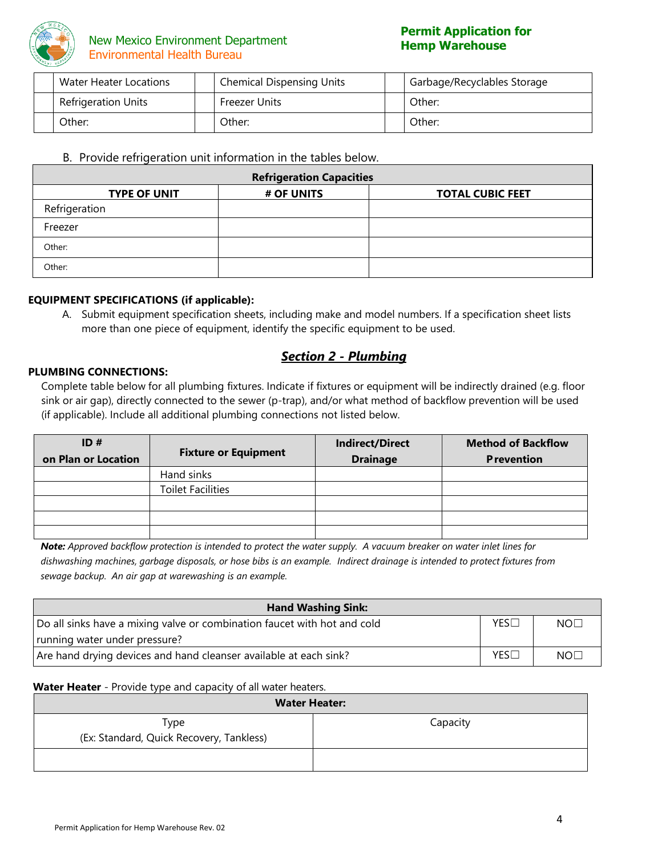

## **New Mexico Environment Department** Environmental Health Bureau

| Water Heater Locations     | <b>Chemical Dispensing Units</b> | Garbage/Recyclables Storage |
|----------------------------|----------------------------------|-----------------------------|
| <b>Refrigeration Units</b> | Freezer Units                    | Other:                      |
| Other:                     | Other:                           | Other:                      |

### B. Provide refrigeration unit information in the tables below.

| <b>Refrigeration Capacities</b> |            |                         |  |  |  |  |  |
|---------------------------------|------------|-------------------------|--|--|--|--|--|
| <b>TYPE OF UNIT</b>             | # OF UNITS | <b>TOTAL CUBIC FEET</b> |  |  |  |  |  |
| Refrigeration                   |            |                         |  |  |  |  |  |
| Freezer                         |            |                         |  |  |  |  |  |
| Other:                          |            |                         |  |  |  |  |  |
| Other:                          |            |                         |  |  |  |  |  |

#### **EQUIPMENT SPECIFICATIONS (if applicable):**

A. Submit equipment specification sheets, including make and model numbers. If a specification sheet lists more than one piece of equipment, identify the specific equipment to be used.

## *Section 2 - Plumbing*

#### **PLUMBING CONNECTIONS:**

Complete table below for all plumbing fixtures. Indicate if fixtures or equipment will be indirectly drained (e.g. floor sink or air gap), directly connected to the sewer (p-trap), and/or what method of backflow prevention will be used (if applicable). Include all additional plumbing connections not listed below.

| ID#                 | <b>Fixture or Equipment</b> | <b>Indirect/Direct</b> | <b>Method of Backflow</b> |
|---------------------|-----------------------------|------------------------|---------------------------|
| on Plan or Location |                             | <b>Drainage</b>        | <b>Prevention</b>         |
|                     | Hand sinks                  |                        |                           |
|                     | <b>Toilet Facilities</b>    |                        |                           |
|                     |                             |                        |                           |
|                     |                             |                        |                           |
|                     |                             |                        |                           |

*Note: Approved backflow protection is intended to protect the water supply. A vacuum breaker on water inlet lines for dishwashing machines, garbage disposals, or hose bibs is an example. Indirect drainage is intended to protect fixtures from sewage backup. An air gap at warewashing is an example.*

| <b>Hand Washing Sink:</b>                                                |            |     |
|--------------------------------------------------------------------------|------------|-----|
| Do all sinks have a mixing valve or combination faucet with hot and cold | YES        | NOT |
| running water under pressure?                                            |            |     |
| Are hand drying devices and hand cleanser available at each sink?        | <b>YES</b> | NOT |

#### **Water Heater** - Provide type and capacity of all water heaters.

| <b>Water Heater:</b>                             |          |  |
|--------------------------------------------------|----------|--|
| Type<br>(Ex: Standard, Quick Recovery, Tankless) | Capacity |  |
|                                                  |          |  |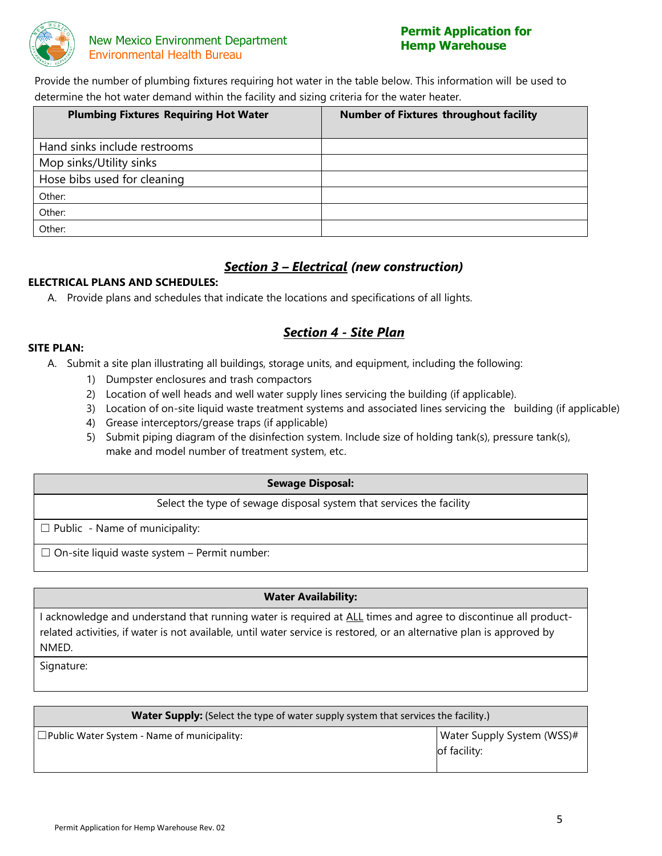

## **New Mexico Environment Department** Environmental Health Bureau

# **Permit Application for**

Provide the number of plumbing fixtures requiring hot water in the table below. This information will be used to determine the hot water demand within the facility and sizing criteria for the water heater.

| <b>Plumbing Fixtures Requiring Hot Water</b> | <b>Number of Fixtures throughout facility</b> |  |  |
|----------------------------------------------|-----------------------------------------------|--|--|
| Hand sinks include restrooms                 |                                               |  |  |
| Mop sinks/Utility sinks                      |                                               |  |  |
| Hose bibs used for cleaning                  |                                               |  |  |
| Other:                                       |                                               |  |  |
| Other:                                       |                                               |  |  |
| Other:                                       |                                               |  |  |

# *Section 3 – Electrical (new construction)*

#### **ELECTRICAL PLANS AND SCHEDULES:**

A. Provide plans and schedules that indicate the locations and specifications of all lights.

# *Section 4 - Site Plan*

#### **SITE PLAN:**

- A. Submit a site plan illustrating all buildings, storage units, and equipment, including the following:
	- 1) Dumpster enclosures and trash compactors
	- 2) Location of well heads and well water supply lines servicing the building (if applicable).
	- 3) Location of on-site liquid waste treatment systems and associated lines servicing the building (if applicable)
	- 4) Grease interceptors/grease traps (if applicable)
	- 5) Submit piping diagram of the disinfection system. Include size of holding tank(s), pressure tank(s), make and model number of treatment system, etc.

#### **Sewage Disposal:**

Select the type of sewage disposal system that services the facility

 $\Box$  Public - Name of municipality:

 $\Box$  On-site liquid waste system – Permit number:

#### **Water Availability:**

I acknowledge and understand that running water is required at ALL times and agree to discontinue all productrelated activities, if water is not available, until water service is restored, or an alternative plan is approved by NMED.

Signature:

| <b>Water Supply:</b> (Select the type of water supply system that services the facility.) |                                            |  |
|-------------------------------------------------------------------------------------------|--------------------------------------------|--|
| $\Box$ Public Water System - Name of municipality:                                        | Water Supply System (WSS)#<br>of facility: |  |
|                                                                                           |                                            |  |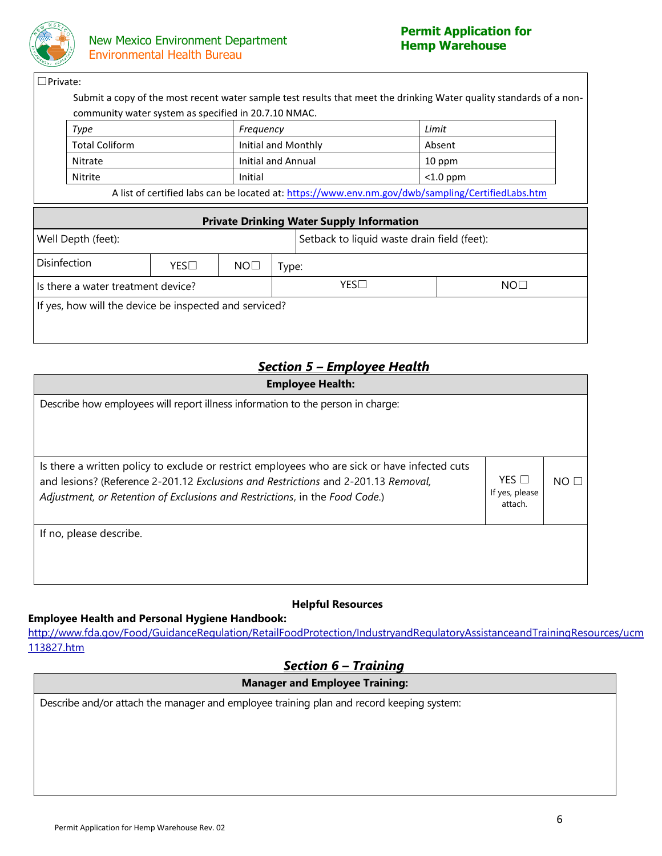

#### ☐Private:

Submit a copy of the most recent water sample test results that meet the drinking Water quality standards of a noncommunity water system as specified in 20.7.10 NMAC.

| Type                                                                                              | Freguency           | Limit       |  |
|---------------------------------------------------------------------------------------------------|---------------------|-------------|--|
| <b>Total Coliform</b>                                                                             | Initial and Monthly | Absent      |  |
| Nitrate                                                                                           | Initial and Annual  | 10 ppm      |  |
| Nitrite                                                                                           | Initial             | $<$ 1.0 ppm |  |
| A list of cortified labe can be located at: https://www.enu.nm.gov/duk/campling/Cortified abs htm |                     |             |  |

A list of certified labs can be located at:<https://www.env.nm.gov/dwb/sampling/CertifiedLabs.htm>

| <b>Private Drinking Water Supply Information</b>       |     |                 |                                             |              |                 |  |
|--------------------------------------------------------|-----|-----------------|---------------------------------------------|--------------|-----------------|--|
| Well Depth (feet):                                     |     |                 | Setback to liquid waste drain field (feet): |              |                 |  |
| Disinfection                                           | YES | NO <sub>1</sub> |                                             | Type:        |                 |  |
| Is there a water treatment device?                     |     |                 |                                             | $YES\square$ | NO <sub>1</sub> |  |
| If yes, how will the device be inspected and serviced? |     |                 |                                             |              |                 |  |

# *Section 5 – Employee Health*

| <b>Employee Health:</b>                                                                                                                                                                                                                                            |                                           |     |  |  |
|--------------------------------------------------------------------------------------------------------------------------------------------------------------------------------------------------------------------------------------------------------------------|-------------------------------------------|-----|--|--|
| Describe how employees will report illness information to the person in charge:                                                                                                                                                                                    |                                           |     |  |  |
|                                                                                                                                                                                                                                                                    |                                           |     |  |  |
| Is there a written policy to exclude or restrict employees who are sick or have infected cuts<br>and lesions? (Reference 2-201.12 Exclusions and Restrictions and 2-201.13 Removal,<br>Adjustment, or Retention of Exclusions and Restrictions, in the Food Code.) | $YES$ $\Box$<br>If yes, please<br>attach. | NOT |  |  |
| If no, please describe.                                                                                                                                                                                                                                            |                                           |     |  |  |

## **Helpful Resources**

**Employee Health and Personal Hygiene Handbook:**

[http://www.fda.gov/Food/GuidanceRegulation/RetailFoodProtection/IndustryandRegulatoryAssistanceandTrainingResources/ucm](http://www.fda.gov/Food/GuidanceRegulation/RetailFoodProtection/IndustryandRegulatoryAssistanceandTrainingResources/ucm113827.htm) [113827.htm](http://www.fda.gov/Food/GuidanceRegulation/RetailFoodProtection/IndustryandRegulatoryAssistanceandTrainingResources/ucm113827.htm)

# *Section 6 – Training*

## **Manager and Employee Training:**

Describe and/or attach the manager and employee training plan and record keeping system: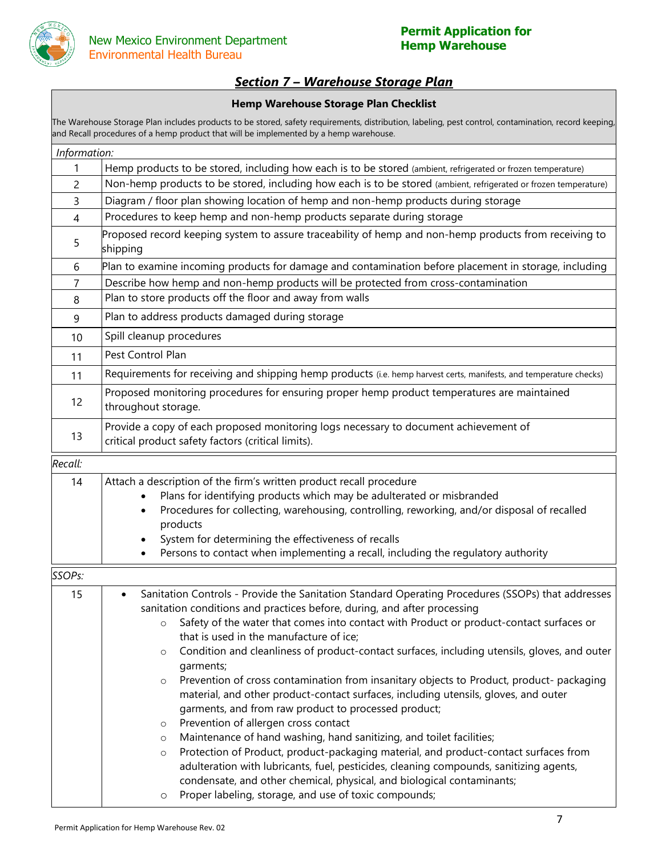

Environment

# *Section 7 – Warehouse Storage Plan*

### **Hemp Warehouse Storage Plan Checklist**

The Warehouse Storage Plan includes products to be stored, safety requirements, distribution, labeling, pest control, contamination, record keeping, and Recall procedures of a hemp product that will be implemented by a hemp warehouse.

| Information:        |                                                                                                                                                                                                                                                                                                                                                                                                                                                                                                                                                                                                                                                                                                                                                                                                                                                                                                                                                                                                                                                      |  |  |  |  |  |
|---------------------|------------------------------------------------------------------------------------------------------------------------------------------------------------------------------------------------------------------------------------------------------------------------------------------------------------------------------------------------------------------------------------------------------------------------------------------------------------------------------------------------------------------------------------------------------------------------------------------------------------------------------------------------------------------------------------------------------------------------------------------------------------------------------------------------------------------------------------------------------------------------------------------------------------------------------------------------------------------------------------------------------------------------------------------------------|--|--|--|--|--|
| 1                   | Hemp products to be stored, including how each is to be stored (ambient, refrigerated or frozen temperature)                                                                                                                                                                                                                                                                                                                                                                                                                                                                                                                                                                                                                                                                                                                                                                                                                                                                                                                                         |  |  |  |  |  |
| 2                   | Non-hemp products to be stored, including how each is to be stored (ambient, refrigerated or frozen temperature)                                                                                                                                                                                                                                                                                                                                                                                                                                                                                                                                                                                                                                                                                                                                                                                                                                                                                                                                     |  |  |  |  |  |
| 3                   | Diagram / floor plan showing location of hemp and non-hemp products during storage                                                                                                                                                                                                                                                                                                                                                                                                                                                                                                                                                                                                                                                                                                                                                                                                                                                                                                                                                                   |  |  |  |  |  |
| 4                   | Procedures to keep hemp and non-hemp products separate during storage                                                                                                                                                                                                                                                                                                                                                                                                                                                                                                                                                                                                                                                                                                                                                                                                                                                                                                                                                                                |  |  |  |  |  |
| 5                   | Proposed record keeping system to assure traceability of hemp and non-hemp products from receiving to<br>shipping                                                                                                                                                                                                                                                                                                                                                                                                                                                                                                                                                                                                                                                                                                                                                                                                                                                                                                                                    |  |  |  |  |  |
| 6                   | Plan to examine incoming products for damage and contamination before placement in storage, including                                                                                                                                                                                                                                                                                                                                                                                                                                                                                                                                                                                                                                                                                                                                                                                                                                                                                                                                                |  |  |  |  |  |
| 7                   | Describe how hemp and non-hemp products will be protected from cross-contamination                                                                                                                                                                                                                                                                                                                                                                                                                                                                                                                                                                                                                                                                                                                                                                                                                                                                                                                                                                   |  |  |  |  |  |
| 8                   | Plan to store products off the floor and away from walls                                                                                                                                                                                                                                                                                                                                                                                                                                                                                                                                                                                                                                                                                                                                                                                                                                                                                                                                                                                             |  |  |  |  |  |
| 9                   | Plan to address products damaged during storage                                                                                                                                                                                                                                                                                                                                                                                                                                                                                                                                                                                                                                                                                                                                                                                                                                                                                                                                                                                                      |  |  |  |  |  |
| 10                  | Spill cleanup procedures                                                                                                                                                                                                                                                                                                                                                                                                                                                                                                                                                                                                                                                                                                                                                                                                                                                                                                                                                                                                                             |  |  |  |  |  |
| 11                  | Pest Control Plan                                                                                                                                                                                                                                                                                                                                                                                                                                                                                                                                                                                                                                                                                                                                                                                                                                                                                                                                                                                                                                    |  |  |  |  |  |
| 11                  | Requirements for receiving and shipping hemp products (i.e. hemp harvest certs, manifests, and temperature checks)                                                                                                                                                                                                                                                                                                                                                                                                                                                                                                                                                                                                                                                                                                                                                                                                                                                                                                                                   |  |  |  |  |  |
| 12                  | Proposed monitoring procedures for ensuring proper hemp product temperatures are maintained<br>throughout storage.                                                                                                                                                                                                                                                                                                                                                                                                                                                                                                                                                                                                                                                                                                                                                                                                                                                                                                                                   |  |  |  |  |  |
| 13                  | Provide a copy of each proposed monitoring logs necessary to document achievement of<br>critical product safety factors (critical limits).                                                                                                                                                                                                                                                                                                                                                                                                                                                                                                                                                                                                                                                                                                                                                                                                                                                                                                           |  |  |  |  |  |
| Recall:             |                                                                                                                                                                                                                                                                                                                                                                                                                                                                                                                                                                                                                                                                                                                                                                                                                                                                                                                                                                                                                                                      |  |  |  |  |  |
| 14                  | Attach a description of the firm's written product recall procedure<br>Plans for identifying products which may be adulterated or misbranded<br>Procedures for collecting, warehousing, controlling, reworking, and/or disposal of recalled<br>٠<br>products<br>System for determining the effectiveness of recalls<br>Persons to contact when implementing a recall, including the regulatory authority                                                                                                                                                                                                                                                                                                                                                                                                                                                                                                                                                                                                                                             |  |  |  |  |  |
| SSOP <sub>S</sub> : |                                                                                                                                                                                                                                                                                                                                                                                                                                                                                                                                                                                                                                                                                                                                                                                                                                                                                                                                                                                                                                                      |  |  |  |  |  |
| 15                  | Sanitation Controls - Provide the Sanitation Standard Operating Procedures (SSOPs) that addresses<br>٠<br>sanitation conditions and practices before, during, and after processing<br>Safety of the water that comes into contact with Product or product-contact surfaces or<br>$\circ$<br>that is used in the manufacture of ice;<br>Condition and cleanliness of product-contact surfaces, including utensils, gloves, and outer<br>$\circ$<br>garments;<br>Prevention of cross contamination from insanitary objects to Product, product- packaging<br>$\circ$<br>material, and other product-contact surfaces, including utensils, gloves, and outer<br>garments, and from raw product to processed product;<br>Prevention of allergen cross contact<br>$\circ$<br>Maintenance of hand washing, hand sanitizing, and toilet facilities;<br>$\circ$<br>Protection of Product, product-packaging material, and product-contact surfaces from<br>$\circ$<br>adulteration with lubricants, fuel, pesticides, cleaning compounds, sanitizing agents, |  |  |  |  |  |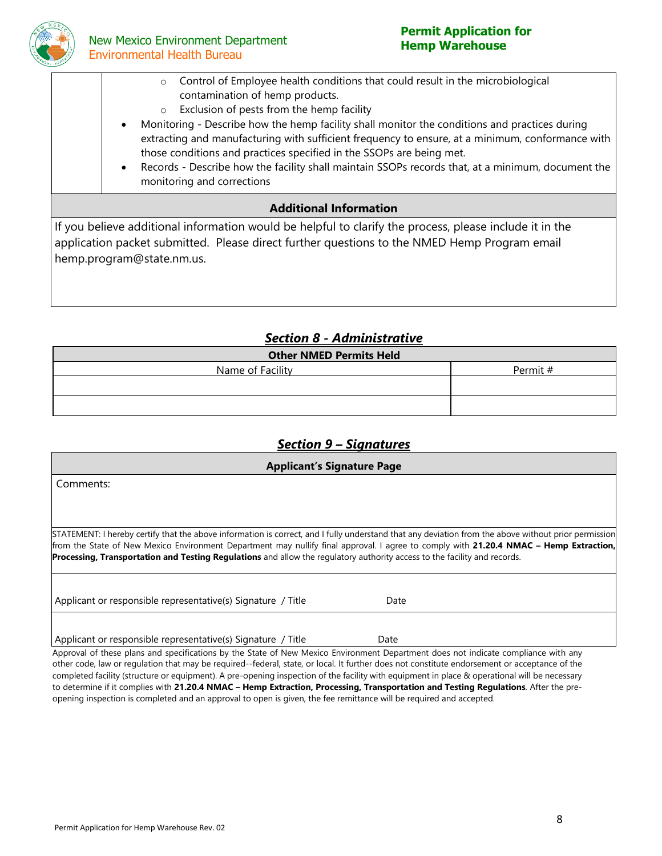

## **New Mexico Environment Department** Environmental Health Bureau

Department

# **Permit Application for**

- New Mexico Environment o Control of Employee health conditions that could result in the microbiological contamination of hemp products.
	- o Exclusion of pests from the hemp facility
	- Monitoring Describe how the hemp facility shall monitor the conditions and practices during extracting and manufacturing with sufficient frequency to ensure, at a minimum, conformance with those conditions and practices specified in the SSOPs are being met.
	- Records Describe how the facility shall maintain SSOPs records that, at a minimum, document the monitoring and corrections

## **Additional Information**

If you believe additional information would be helpful to clarify the process, please include it in the application packet submitted. Please direct further questions to the NMED Hemp Program email hemp.program@state.nm.us.

# *Section 8 - Administrative*

| <b>Other NMED Permits Held</b> |          |  |  |
|--------------------------------|----------|--|--|
| Name of Facility               | Permit # |  |  |
|                                |          |  |  |
|                                |          |  |  |
|                                |          |  |  |

# *Section 9 – Signatures*

| <b>Applicant's Signature Page</b>                                                                                                                                                                                                                                                                                                                                                                                           |      |  |  |  |
|-----------------------------------------------------------------------------------------------------------------------------------------------------------------------------------------------------------------------------------------------------------------------------------------------------------------------------------------------------------------------------------------------------------------------------|------|--|--|--|
| Comments:                                                                                                                                                                                                                                                                                                                                                                                                                   |      |  |  |  |
|                                                                                                                                                                                                                                                                                                                                                                                                                             |      |  |  |  |
| STATEMENT: I hereby certify that the above information is correct, and I fully understand that any deviation from the above without prior permission<br>from the State of New Mexico Environment Department may nullify final approval. I agree to comply with 21.20.4 NMAC - Hemp Extraction,<br>Processing, Transportation and Testing Regulations and allow the regulatory authority access to the facility and records. |      |  |  |  |
| Applicant or responsible representative(s) Signature / Title                                                                                                                                                                                                                                                                                                                                                                | Date |  |  |  |
|                                                                                                                                                                                                                                                                                                                                                                                                                             |      |  |  |  |
| Applicant or responsible representative(s) Signature / Title                                                                                                                                                                                                                                                                                                                                                                | Date |  |  |  |

Approval of these plans and specifications by the State of New Mexico Environment Department does not indicate compliance with any other code, law or regulation that may be required--federal, state, or local. It further does not constitute endorsement or acceptance of the completed facility (structure or equipment). A pre-opening inspection of the facility with equipment in place & operational will be necessary to determine if it complies with **21.20.4 NMAC – Hemp Extraction, Processing, Transportation and Testing Regulations**. After the preopening inspection is completed and an approval to open is given, the fee remittance will be required and accepted.